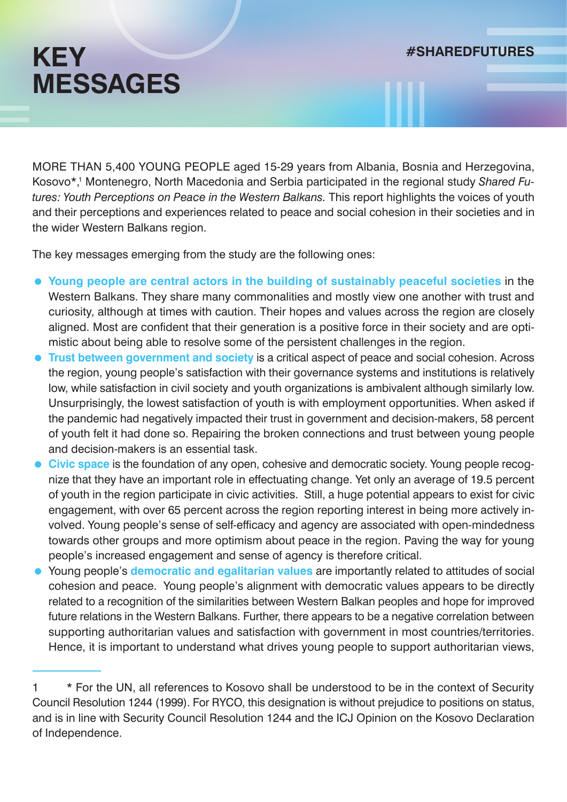MORE THAN 5,400 YOUNG PEOPLE aged 15-29 years from Albania, Bosnia and Herzegovina, Kosovo\*,<sup>1</sup> Montenegro, North Macedonia and Serbia participated in the regional study Shared Fu*tures: Youth Perceptions on Peace in the Western Balkans.* This report highlights the voices of youth and their perceptions and experiences related to peace and social cohesion in their societies and in the wider Western Balkans region.

The key messages emerging from the study are the following ones:

- **Young people are central actors in the building of sustainably peaceful societies** in the Western Balkans. They share many commonalities and mostly view one another with trust and curiosity, although at times with caution. Their hopes and values across the region are closely aligned. Most are confident that their generation is a positive force in their society and are optimistic about being able to resolve some of the persistent challenges in the region.
- **Trust between government and society** is a critical aspect of peace and social cohesion. Across the region, young people's satisfaction with their governance systems and institutions is relatively low, while satisfaction in civil society and youth organizations is ambivalent although similarly low. Unsurprisingly, the lowest satisfaction of youth is with employment opportunities. When asked if the pandemic had negatively impacted their trust in government and decision-makers, 58 percent of youth felt it had done so. Repairing the broken connections and trust between young people and decision-makers is an essential task.
- **Civic space** is the foundation of any open, cohesive and democratic society. Young people recognize that they have an important role in effectuating change. Yet only an average of 19.5 percent of youth in the region participate in civic activities. Still, a huge potential appears to exist for civic engagement, with over 65 percent across the region reporting interest in being more actively involved. Young people's sense of self-efficacy and agency are associated with open-mindedness towards other groups and more optimism about peace in the region. Paving the way for young people's increased engagement and sense of agency is therefore critical.
- Young people's **democratic and egalitarian values** are importantly related to attitudes of social cohesion and peace. Young people's alignment with democratic values appears to be directly related to a recognition of the similarities between Western Balkan peoples and hope for improved future relations in the Western Balkans. Further, there appears to be a negative correlation between supporting authoritarian values and satisfaction with government in most countries/territories. Hence, it is important to understand what drives young people to support authoritarian views,

<sup>&</sup>lt;sup>1</sup> \* For the UN, all references to Kosovo shall be understood to be in the context of Security Council Resolution 1244 (1999). For RYCO, this designation is without prejudice to positions on status, and is in line with Security Council Resolution 1244 and the ICJ Opinion on the Kosovo Declaration of Independence.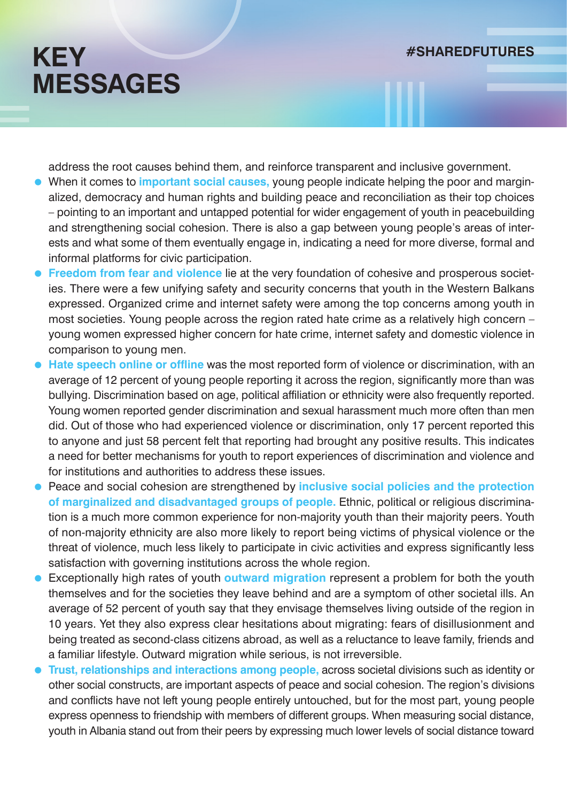address the root causes behind them, and reinforce transparent and inclusive government.

- When it comes to **important social causes,** young people indicate helping the poor and marginalized, democracy and human rights and building peace and reconciliation as their top choices – pointing to an important and untapped potential for wider engagement of youth in peacebuilding and strengthening social cohesion. There is also a gap between young people's areas of interests and what some of them eventually engage in, indicating a need for more diverse, formal and informal platforms for civic participation.
- **Freedom from fear and violence** lie at the very foundation of cohesive and prosperous societies. There were a few unifying safety and security concerns that youth in the Western Balkans expressed. Organized crime and internet safety were among the top concerns among youth in most societies. Young people across the region rated hate crime as a relatively high concern – young women expressed higher concern for hate crime, internet safety and domestic violence in comparison to young men.
- **Hate speech online or offline** was the most reported form of violence or discrimination, with an average of 12 percent of young people reporting it across the region, significantly more than was bullying. Discrimination based on age, political affiliation or ethnicity were also frequently reported. Young women reported gender discrimination and sexual harassment much more often than men did. Out of those who had experienced violence or discrimination, only 17 percent reported this to anyone and just 58 percent felt that reporting had brought any positive results. This indicates a need for better mechanisms for youth to report experiences of discrimination and violence and for institutions and authorities to address these issues.
- **Peace and social cohesion are strengthened by inclusive social policies and the protection of marginalized and disadvantaged groups of people.** Ethnic, political or religious discrimination is a much more common experience for non-majority youth than their majority peers. Youth of non-majority ethnicity are also more likely to report being victims of physical violence or the threat of violence, much less likely to participate in civic activities and express significantly less satisfaction with governing institutions across the whole region.
- Exceptionally high rates of youth **outward migration** represent a problem for both the youth themselves and for the societies they leave behind and are a symptom of other societal ills. An average of 52 percent of youth say that they envisage themselves living outside of the region in 10 years. Yet they also express clear hesitations about migrating: fears of disillusionment and being treated as second-class citizens abroad, as well as a reluctance to leave family, friends and a familiar lifestyle. Outward migration while serious, is not irreversible.
- **Trust, relationships and interactions among people,** across societal divisions such as identity or other social constructs, are important aspects of peace and social cohesion. The region's divisions and conflicts have not left young people entirely untouched, but for the most part, young people express openness to friendship with members of different groups. When measuring social distance, youth in Albania stand out from their peers by expressing much lower levels of social distance toward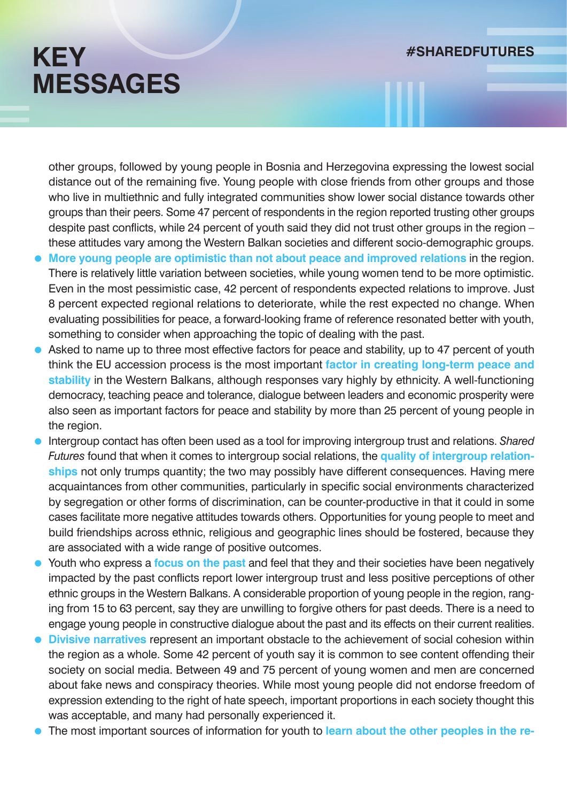other groups, followed by young people in Bosnia and Herzegovina expressing the lowest social distance out of the remaining five. Young people with close friends from other groups and those who live in multiethnic and fully integrated communities show lower social distance towards other groups than their peers. Some 47 percent of respondents in the region reported trusting other groups despite past conflicts, while 24 percent of youth said they did not trust other groups in the region – these attitudes vary among the Western Balkan societies and different socio-demographic groups.

- **More young people are optimistic than not about peace and improved relations** in the region. There is relatively little variation between societies, while young women tend to be more optimistic. Even in the most pessimistic case, 42 percent of respondents expected relations to improve. Just 8 percent expected regional relations to deteriorate, while the rest expected no change. When evaluating possibilities for peace, a forward-looking frame of reference resonated better with youth, something to consider when approaching the topic of dealing with the past.
- Asked to name up to three most effective factors for peace and stability, up to 47 percent of youth think the EU accession process is the most important **factor in creating long-term peace and stability** in the Western Balkans, although responses vary highly by ethnicity. A well-functioning democracy, teaching peace and tolerance, dialogue between leaders and economic prosperity were also seen as important factors for peace and stability by more than 25 percent of young people in the region.
- Intergroup contact has often been used as a tool for improving intergroup trust and relations. *Shared Futures* found that when it comes to intergroup social relations, the **quality of intergroup relationships** not only trumps quantity; the two may possibly have different consequences. Having mere acquaintances from other communities, particularly in specific social environments characterized by segregation or other forms of discrimination, can be counter-productive in that it could in some cases facilitate more negative attitudes towards others. Opportunities for young people to meet and build friendships across ethnic, religious and geographic lines should be fostered, because they are associated with a wide range of positive outcomes.
- Youth who express a **focus on the past** and feel that they and their societies have been negatively impacted by the past conflicts report lower intergroup trust and less positive perceptions of other ethnic groups in the Western Balkans. A considerable proportion of young people in the region, ranging from 15 to 63 percent, say they are unwilling to forgive others for past deeds. There is a need to engage young people in constructive dialogue about the past and its effects on their current realities.
- **Divisive narratives** represent an important obstacle to the achievement of social cohesion within the region as a whole. Some 42 percent of youth say it is common to see content offending their society on social media. Between 49 and 75 percent of young women and men are concerned about fake news and conspiracy theories. While most young people did not endorse freedom of expression extending to the right of hate speech, important proportions in each society thought this was acceptable, and many had personally experienced it.
- The most important sources of information for youth to **learn about the other peoples in the re-**